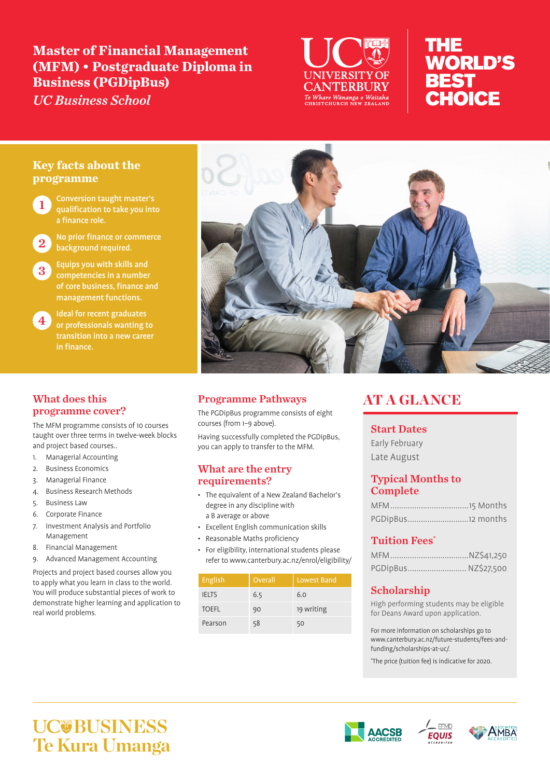# **Master of Financial Management (MFM) • Postgraduate Diploma in Business (PGDipBus)**

*UC Business School*



# **THE WORLD'S BEST** CHOICE

# **Key facts about the programme**

**Conversion taught master's** qualification to take you into a finance role.

No prior finance or commerce background required.

**3** Equips you with skills and competencies in a number management functions.

4 Ideal for recent graduates<br>4 or professionals wanting to in finance.

# What does this programme cover?

The MFM programme consists of 10 courses taught over three terms in twelve-week blocks and project based courses..

- 1. Managerial Accounting
- 2. Business Economics
- 3. Managerial Finance
- 4. Business Research Methods
- 5. Business Law
- 6. Corporate Finance
- 7. Investment Analysis and Portfolio Management
- 8. Financial Management
- 9. Advanced Management Accounting

Projects and project based courses allow you to apply what you learn in class to the world. You will produce substantial pieces of work to demonstrate higher learning and application to real world problems.



# Programme Pathways

The PGDipBus programme consists of eight courses (from 1–9 above).

Having successfully completed the PGDipBus, you can apply to transfer to the MFM.

## What are the entry requirements?

- The equivalent of a New Zealand Bachelor's degree in any discipline with a B average or above
- Excellent English communication skills
- Reasonable Maths proficiency
- For eligibility, international students please refer to www.canterbury.ac.nz/enrol/eligibility/

| English      | Overall | Lowest Band |
|--------------|---------|-------------|
| <b>IELTS</b> | 6.5     | 6.0         |
| <b>TOEFL</b> | 90      | 19 writing  |
| Pearson      | 58      | 50          |

# AT A GLANCE

## Start Dates

Early February Late August

## Typical Months to Complete

| PGDipBus12 months |  |
|-------------------|--|

# Tuition Fees\*

| PGDipBus NZ\$27,500 |  |
|---------------------|--|

# Scholarship

High performing students may be eligible for Deans Award upon application.

For more information on scholarships go to www.canterbury.ac.nz/future-students/fees-andfunding/scholarships-at-uc/.

\* The price (tuition fee) is indicative for 2020.

# **UC@BUSINESS Te Kura Umanga**